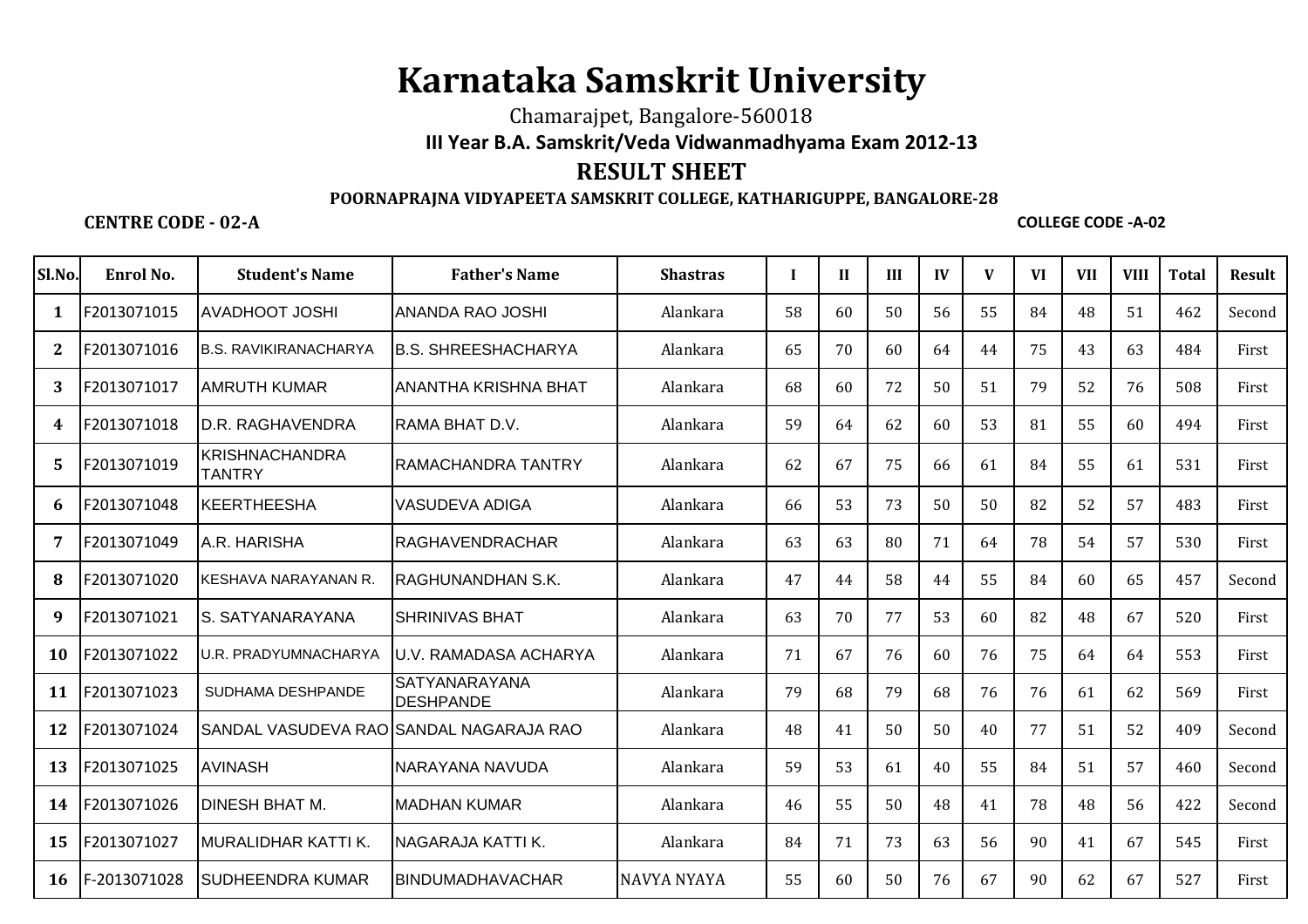## **Karnataka Samskrit University**

Chamarajpet, Bangalore-560018**III Year B.A. Samskrit/Veda Vidwanmadhyama Exam 2012-13**

## **RESULT SHEET**

## **POORNAPRAJNA VIDYAPEETA SAMSKRIT COLLEGE, KATHARIGUPPE, BANGALORE-28**

## **CENTRE CODE - 02-A**

**COLLEGE CODE -A-02**

| Sl.No.    | Enrol No.    | <b>Student's Name</b>                  | <b>Father's Name</b>                    | <b>Shastras</b>    | I  | $\mathbf{H}$ | III | IV | V  | <b>VI</b> | <b>VII</b> | <b>VIII</b> | <b>Total</b> | Result |
|-----------|--------------|----------------------------------------|-----------------------------------------|--------------------|----|--------------|-----|----|----|-----------|------------|-------------|--------------|--------|
| 1         | F2013071015  | <b>AVADHOOT JOSHI</b>                  | IANANDA RAO JOSHI                       | Alankara           | 58 | 60           | 50  | 56 | 55 | 84        | 48         | 51          | 462          | Second |
| 2         | F2013071016  | <b>B.S. RAVIKIRANACHARYA</b>           | IB.S. SHREESHACHARYA                    | Alankara           | 65 | 70           | 60  | 64 | 44 | 75        | 43         | 63          | 484          | First  |
| 3         | F2013071017  | <b>AMRUTH KUMAR</b>                    | IANANTHA KRISHNA BHAT                   | Alankara           | 68 | 60           | 72  | 50 | 51 | 79        | 52         | 76          | 508          | First  |
| 4         | F2013071018  | ID.R. RAGHAVENDRA                      | <b>IRAMA BHAT D.V.</b>                  | Alankara           | 59 | 64           | 62  | 60 | 53 | 81        | 55         | 60          | 494          | First  |
| 5         | F2013071019  | <b>KRISHNACHANDRA</b><br><b>TANTRY</b> | IRAMACHANDRA TANTRY                     | Alankara           | 62 | 67           | 75  | 66 | 61 | 84        | 55         | 61          | 531          | First  |
| 6         | F2013071048  | KEERTHEESHA                            | IVASUDEVA ADIGA                         | Alankara           | 66 | 53           | 73  | 50 | 50 | 82        | 52         | 57          | 483          | First  |
| 7         | F2013071049  | A.R. HARISHA                           | IRAGHAVENDRACHAR                        | Alankara           | 63 | 63           | 80  | 71 | 64 | 78        | 54         | 57          | 530          | First  |
| -8        | F2013071020  | KESHAVA NARAYANAN R.                   | IRAGHUNANDHAN S.K.                      | Alankara           | 47 | 44           | 58  | 44 | 55 | 84        | 60         | 65          | 457          | Second |
| 9         | F2013071021  | IS. SATYANARAYANA                      | ISHRINIVAS BHAT                         | Alankara           | 63 | 70           | 77  | 53 | 60 | 82        | 48         | 67          | 520          | First  |
| <b>10</b> | F2013071022  | U.R. PRADYUMNACHARYA                   | IU.V. RAMADASA ACHARYA                  | Alankara           | 71 | 67           | 76  | 60 | 76 | 75        | 64         | 64          | 553          | First  |
| 11        | F2013071023  | SUDHAMA DESHPANDE                      | SATYANARAYANA<br><b>IDESHPANDE</b>      | Alankara           | 79 | 68           | 79  | 68 | 76 | 76        | 61         | 62          | 569          | First  |
| 12        | F2013071024  |                                        | SANDAL VASUDEVA RAO SANDAL NAGARAJA RAO | Alankara           | 48 | 41           | 50  | 50 | 40 | 77        | 51         | 52          | 409          | Second |
| 13        | F2013071025  | <b>AVINASH</b>                         | NARAYANA NAVUDA                         | Alankara           | 59 | 53           | 61  | 40 | 55 | 84        | 51         | 57          | 460          | Second |
| 14        | F2013071026  | <b>DINESH BHAT M.</b>                  | IMADHAN KUMAR                           | Alankara           | 46 | 55           | 50  | 48 | 41 | 78        | 48         | 56          | 422          | Second |
| 15        | F2013071027  | MURALIDHAR KATTI K.                    | NAGARAJA KATTI K.                       | Alankara           | 84 | 71           | 73  | 63 | 56 | 90        | 41         | 67          | 545          | First  |
| 16        | F-2013071028 | <b>ISUDHEENDRA KUMAR</b>               | <b>BINDUMADHAVACHAR</b>                 | <b>NAVYA NYAYA</b> | 55 | 60           | 50  | 76 | 67 | 90        | 62         | 67          | 527          | First  |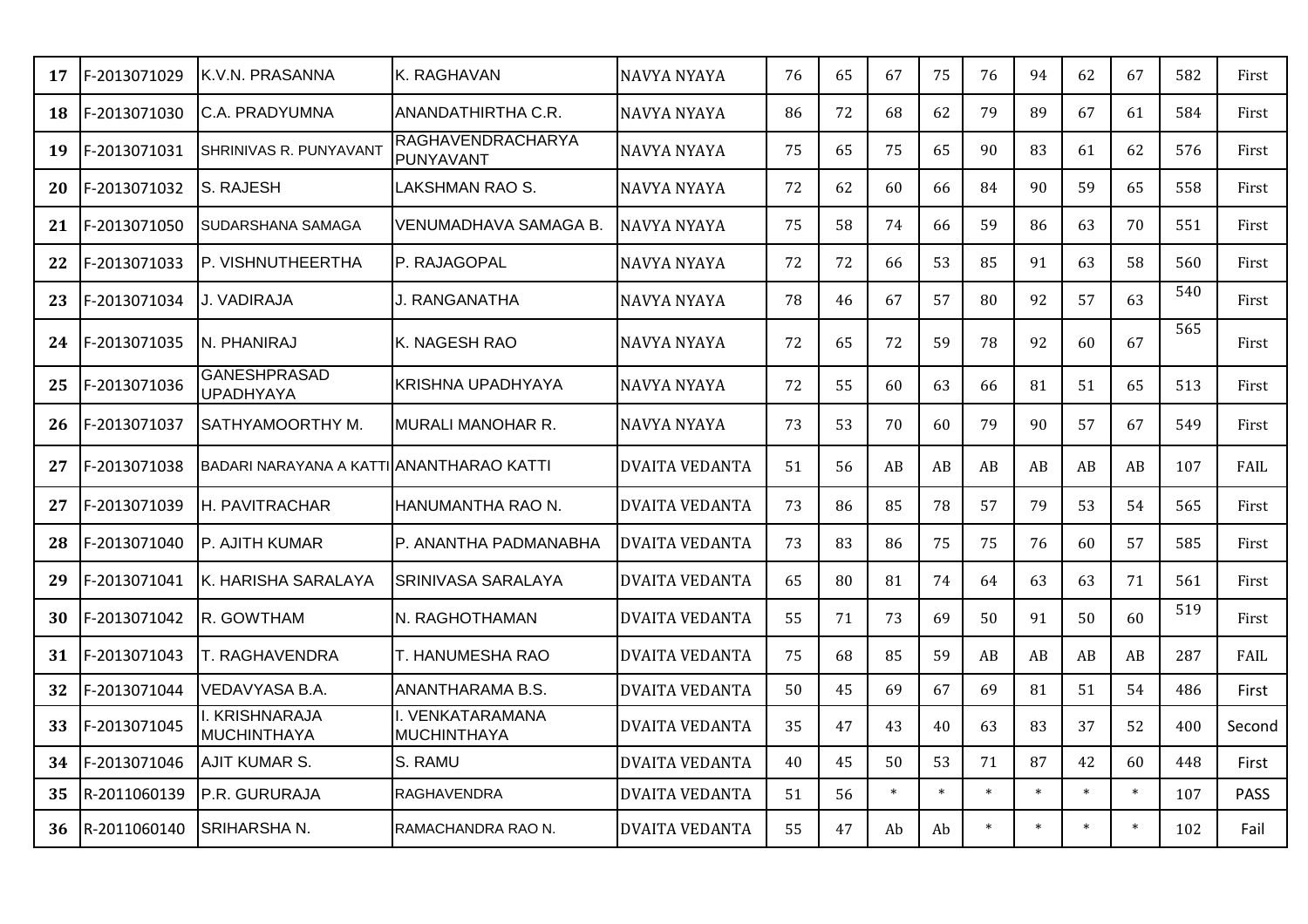| 17 | F-2013071029 | K.V.N. PRASANNA                          | IK. RAGHAVAN                           | NAVYA NYAYA           | 76 | 65 | 67     | 75     | 76     | 94     | 62     | 67     | 582 | First       |
|----|--------------|------------------------------------------|----------------------------------------|-----------------------|----|----|--------|--------|--------|--------|--------|--------|-----|-------------|
| 18 | F-2013071030 | C.A. PRADYUMNA                           | ANANDATHIRTHA C.R.                     | <b>NAVYA NYAYA</b>    | 86 | 72 | 68     | 62     | 79     | 89     | 67     | 61     | 584 | First       |
| 19 | F-2013071031 | SHRINIVAS R. PUNYAVANT                   | RAGHAVENDRACHARYA<br>PUNYAVANT         | NAVYA NYAYA           | 75 | 65 | 75     | 65     | 90     | 83     | 61     | 62     | 576 | First       |
| 20 | F-2013071032 | S. RAJESH                                | <b>LAKSHMAN RAO S.</b>                 | NAVYA NYAYA           | 72 | 62 | 60     | 66     | 84     | 90     | 59     | 65     | 558 | First       |
| 21 | F-2013071050 | SUDARSHANA SAMAGA                        | VENUMADHAVA SAMAGA B.                  | NAVYA NYAYA           | 75 | 58 | 74     | 66     | 59     | 86     | 63     | 70     | 551 | First       |
| 22 | F-2013071033 | P. VISHNUTHEERTHA                        | P. RAJAGOPAL                           | <b>NAVYA NYAYA</b>    | 72 | 72 | 66     | 53     | 85     | 91     | 63     | 58     | 560 | First       |
| 23 | F-2013071034 | J. VADIRAJA                              | J. RANGANATHA                          | NAVYA NYAYA           | 78 | 46 | 67     | 57     | 80     | 92     | 57     | 63     | 540 | First       |
| 24 | F-2013071035 | N. PHANIRAJ                              | lK. NAGESH RAO                         | NAVYA NYAYA           | 72 | 65 | 72     | 59     | 78     | 92     | 60     | 67     | 565 | First       |
| 25 | F-2013071036 | <b>GANESHPRASAD</b><br><b>UPADHYAYA</b>  | <b>KRISHNA UPADHYAYA</b>               | NAVYA NYAYA           | 72 | 55 | 60     | 63     | 66     | 81     | 51     | 65     | 513 | First       |
| 26 | F-2013071037 | SATHYAMOORTHY M.                         | IMURALI MANOHAR R.                     | <b>NAVYA NYAYA</b>    | 73 | 53 | 70     | 60     | 79     | 90     | 57     | 67     | 549 | First       |
| 27 | F-2013071038 | BADARI NARAYANA A KATTILANANTHARAO KATTI |                                        | DVAITA VEDANTA        | 51 | 56 | AB     | AB     | AB     | AB     | AB     | AB     | 107 | FAIL        |
| 27 | F-2013071039 | H. PAVITRACHAR                           | HANUMANTHA RAO N.                      | <b>DVAITA VEDANTA</b> | 73 | 86 | 85     | 78     | 57     | 79     | 53     | 54     | 565 | First       |
| 28 | F-2013071040 | P. AJITH KUMAR                           | IP. ANANTHA PADMANABHA                 | <b>DVAITA VEDANTA</b> | 73 | 83 | 86     | 75     | 75     | 76     | 60     | 57     | 585 | First       |
| 29 | F-2013071041 | K. HARISHA SARALAYA                      | <b>SRINIVASA SARALAYA</b>              | <b>DVAITA VEDANTA</b> | 65 | 80 | 81     | 74     | 64     | 63     | 63     | 71     | 561 | First       |
| 30 | F-2013071042 | R. GOWTHAM                               | IN. RAGHOTHAMAN                        | <b>DVAITA VEDANTA</b> | 55 | 71 | 73     | 69     | 50     | 91     | 50     | 60     | 519 | First       |
| 31 | F-2013071043 | <b>T. RAGHAVENDRA</b>                    | T. HANUMESHA RAO                       | <b>DVAITA VEDANTA</b> | 75 | 68 | 85     | 59     | AB     | AB     | AB     | AB     | 287 | FAIL        |
| 32 | F-2013071044 | VEDAVYASA B.A.                           | ANANTHARAMA B.S.                       | <b>DVAITA VEDANTA</b> | 50 | 45 | 69     | 67     | 69     | 81     | 51     | 54     | 486 | First       |
| 33 | F-2013071045 | I. KRISHNARAJA<br><b>MUCHINTHAYA</b>     | I. VENKATARAMANA<br><b>MUCHINTHAYA</b> | <b>DVAITA VEDANTA</b> | 35 | 47 | 43     | 40     | 63     | 83     | 37     | 52     | 400 | Second      |
| 34 | F-2013071046 | AJIT KUMAR S.                            | S. RAMU                                | <b>DVAITA VEDANTA</b> | 40 | 45 | 50     | 53     | 71     | 87     | 42     | 60     | 448 | First       |
| 35 | R-2011060139 | P.R. GURURAJA                            | <b>RAGHAVENDRA</b>                     | <b>DVAITA VEDANTA</b> | 51 | 56 | $\ast$ | $\ast$ | $\ast$ | $\ast$ | $\ast$ | $\ast$ | 107 | <b>PASS</b> |
| 36 | R-2011060140 | <b>SRIHARSHAN.</b>                       | RAMACHANDRA RAO N.                     | <b>DVAITA VEDANTA</b> | 55 | 47 | Ab     | Ab     | $\ast$ | $\ast$ | $\ast$ |        | 102 | Fail        |